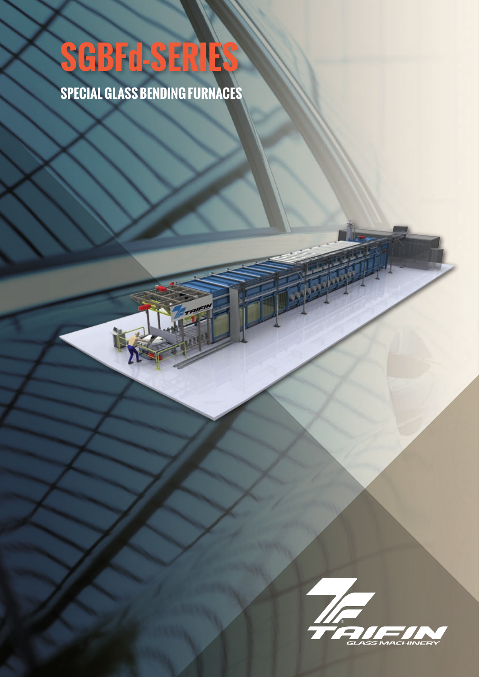## **SGBFd-SERIES**

**SPECIAL GLASS BENDING FURNACES**